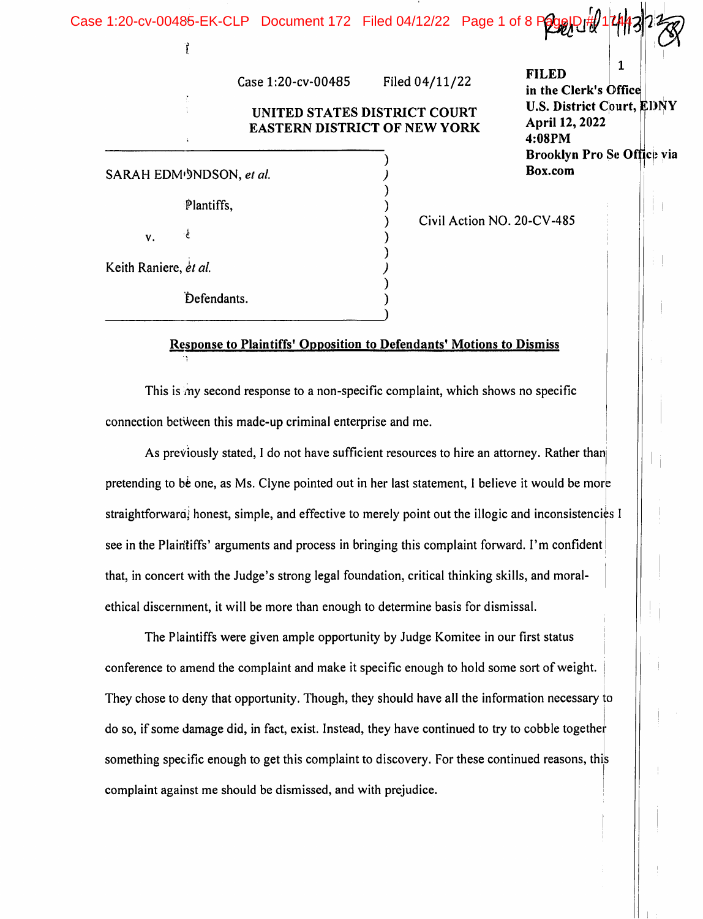| Case 1:20-cv-00485-EK-CLP Document 172 Filed 04/12/22 Page 1 of 8 Page Di#/1 |                                                                     |                |                            |                                                              |  |  |
|------------------------------------------------------------------------------|---------------------------------------------------------------------|----------------|----------------------------|--------------------------------------------------------------|--|--|
| Case 1:20-cv-00485                                                           |                                                                     | Filed 04/11/22 |                            | <b>FILED</b><br>in the Clerk's Office                        |  |  |
|                                                                              | UNITED STATES DISTRICT COURT<br><b>EASTERN DISTRICT OF NEW YORK</b> |                |                            | <b>U.S. District Court, EDNY</b><br>April 12, 2022<br>4:08PM |  |  |
| SARAH EDM <sup>(9</sup> NDSON, et al.                                        |                                                                     |                |                            | Brooklyn Pro Se Office via<br>Box.com                        |  |  |
| Plantiffs,                                                                   |                                                                     |                | Civil Action NO. 20-CV-485 |                                                              |  |  |
| v.<br>Keith Raniere, et al.                                                  |                                                                     |                |                            |                                                              |  |  |
| Defendants.                                                                  |                                                                     |                |                            |                                                              |  |  |

# Response to Plaintiffs' Opposition to Defendants' Motions to Dismiss

This is my second response to a non-specific complaint, which shows no specific connection between this made-up criminal enterprise and me.

As previously stated, 1 do not have sufficient resources to hire an attorney. Rather thanj pretending to be one, as Ms. Clyne pointed out in her last statement, I believe it would be more straightforward, honest, simple, and effective to merely point out the illogic and inconsistencies I see in the Plaintiffs' arguments and process in bringing this complaint forward. I'm confident that, in concert with the Judge's strong legal foundation, critical thinking skills, and moralethical discernment, it will be more than enough to determine basis for dismissal.

The Plaintiffs were given ample opportunity by Judge Komitee in our first status conference to amend the complaint and make it specific enough to hold some sort of weight. They chose to deny that opportunity. Though, they should have all the information necessary to do so, if some damage did, in fact, exist. Instead, they have continued to try to cobble together something specific enough to get this complaint to discovery. For these continued reasons, this complaint against me should be dismissed, and with prejudice.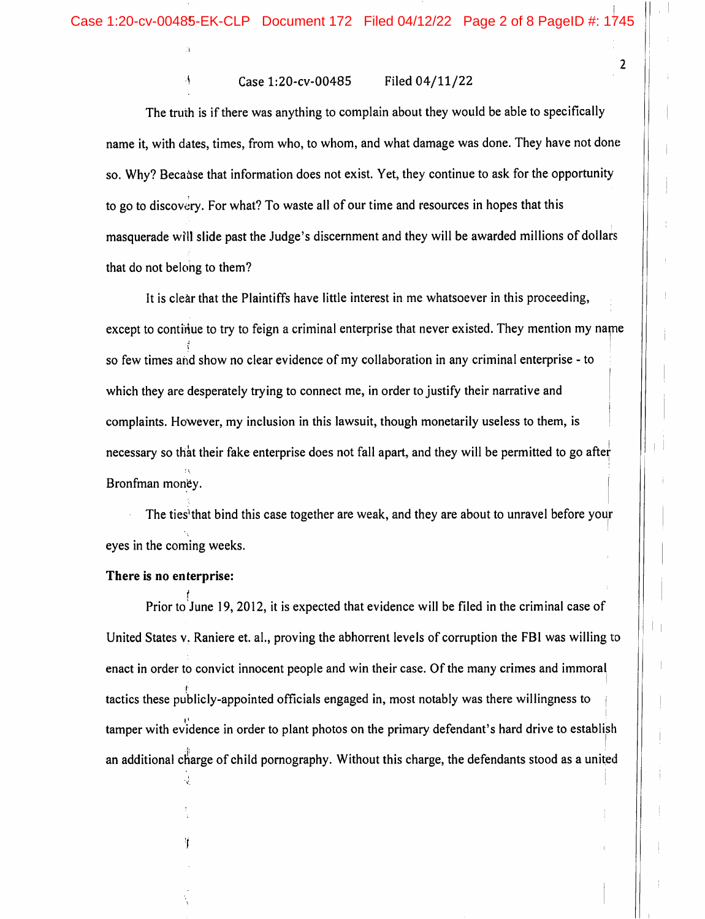#### Case 1:20-cv-00485 Filed 04/11/22

The truth is if there was anything to complain about they would be able to specifically name it, with dates, times, from who, to whom, and what damage was done. They have not done so. Why? Because that information does not exist. Yet, they continue to ask for the opportunity to go to discovery. For what? To waste all of our time and resources in hopes that this masquerade will slide past the Judge's discernment and they will be awarded millions of dollars that do not belong to them?

It is clear that the Plaintiffs have little interest in me whatsoever in this proceeding, except to continue to try to feign a criminal enterprise that never existed. They mention my name . For a set of the contract of the contract of the contract of the contract of the contract of the contract of the contract of the contract of the contract of the contract of the contract of the contract of the contract o so few times and show no clear evidence of my collaboration in any criminal enterprise - to which they are desperately trying to connect me, in order to justify their narrative and complaints. However, my inclusion in this lawsuit, though monetarily useless to them, is necessary so that their fake enterprise does not fall apart, and they will be permitted to go after Bronfman money.

The ties' that bind this case together are weak, and they are about to unravel before your eyes in the coming weeks.

#### There is no enterprise:

Prior to June 19, 2012, it is expected that evidence will be filed in the criminal case of United States v. Raniere et. al., proving the abhorrent levels of corruption the FBI was willing to enact in order to convict innocent people and win their case. Of the many crimes and immoral tactics these publicly-appointed officials engaged in, most notably was there willingness to tamper with evidence in order to plant photos on the primary defendant's hard drive to establish an additional charge of child pornography. Without this charge, the defendants stood as a united

 $\overline{2}$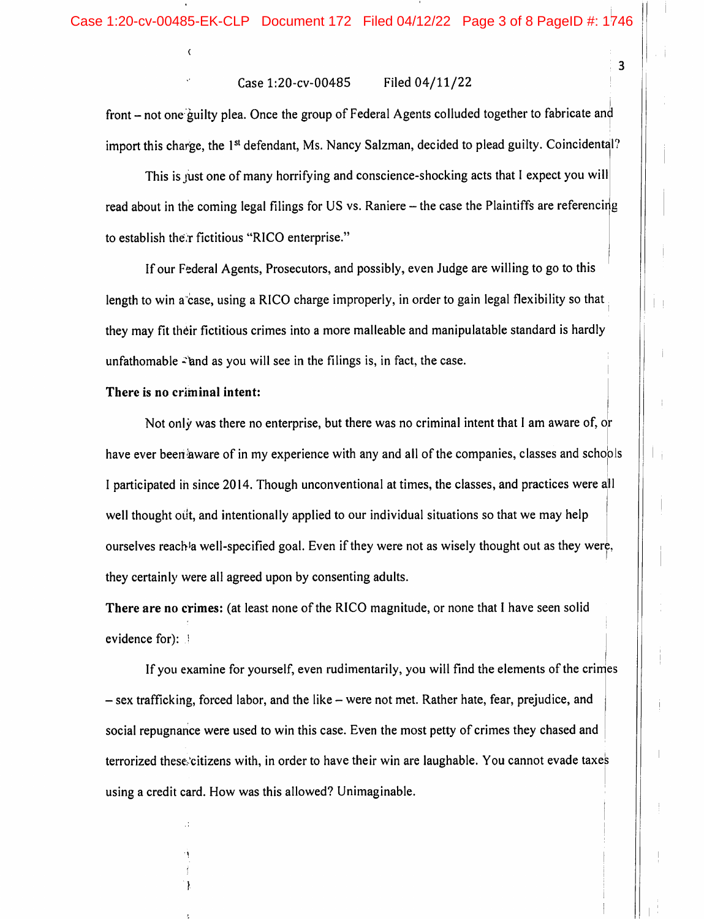#### Case l:20-cv-00485 Filed 04/11/22

front - not one guilty plea. Once the group of Federal Agents colluded together to fabricate and import this charge, the 1<sup>st</sup> defendant, Ms. Nancy Salzman, decided to plead guilty. Coincidental?

This is just one of many horrifying and conscience-shocking acts that I expect you will read about in the coming legal filings for US vs. Raniere - the case the Plaintiffs are referencing to establish the.r fictitious "RICO enterprise."

If our Federal Agents, Prosecutors, and possibly, even Judge are willing to go to this length to win a case, using a RICO charge improperly, in order to gain legal flexibility so that they may fit their fictitious crimes into a more malleable and manipulatable standard is hardly unfathomable  $\hat{\cdot}$  and as you will see in the filings is, in fact, the case.

#### There is no criminal intent:

Not only was there no enterprise, but there was no criminal intent that 1 am aware of, or have ever been aware of in my experience with any and all of the companies, classes and schools I participated in since 2014. Though unconventional at times, the classes, and practices were all well thought out, and intentionally applied to our individual situations so that we may help ourselves reach'a well-specified goal. Even if they were not as wisely thought out as they were, they certainly were all agreed upon by consenting adults.

There are no crimes: (at least none of the RICO magnitude, or none that I have seen solid evidence for):

If you examine for yourself, even rudimentarily, you will find the elements of the crimes - sex trafficking, forced labor, and the like - were not met. Rather hate, fear, prejudice, and social repugnance were used to win this case. Even the most petty of crimes they chased and terrorized these.'citizens with, in order to have their win are laughable. You cannot evade taxes using a credit card. How was this allowed? Unimaginable.

 $\overline{\mathbf{3}}$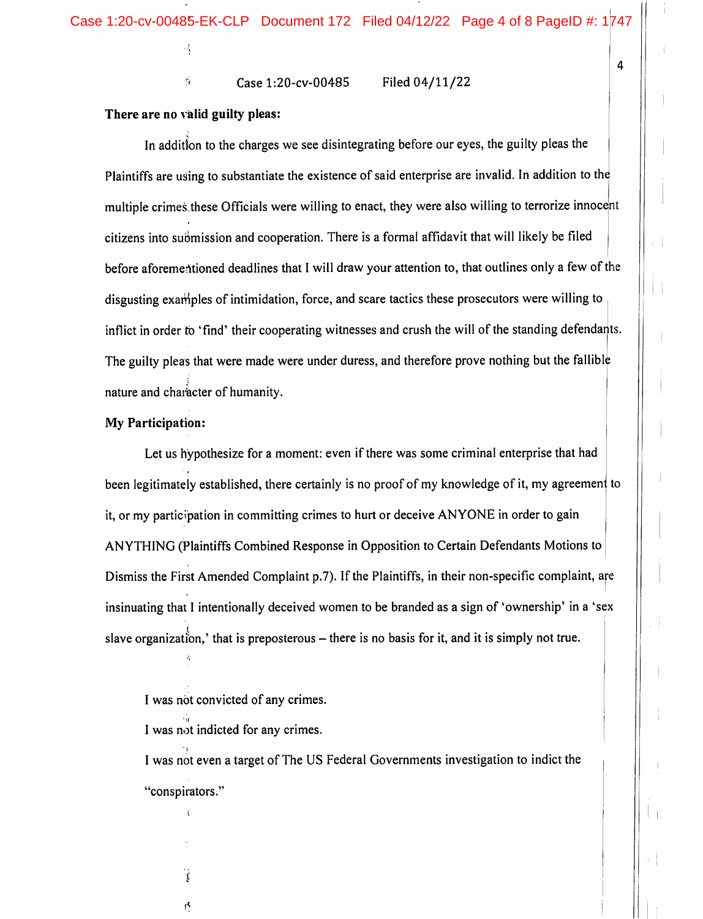$\frac{6}{10}$  Case 1:20-cv-00485 Filed 04/11/22

### There are no valid guilty pleas:

4

In addition to the charges we see disintegrating before our eyes, the guilty pleas the Plaintiffs are using to substantiate the existence of said enterprise are invalid. In addition to the multiple crimes these Officials were willing to enact, they were also willing to terrorize innocent citizens into submission and cooperation. There is a formal affidavit that will likely be filed before aforementioned deadlines that 1 will draw your attention to, that outlines only a few of the disgusting examples of intimidation, force, and scare tactics these prosecutors were willing to inflict in order to 'find' their cooperating witnesses and crush the will of the standing defendants. The guilty pleas that were made were under duress, and therefore prove nothing but the fallible nature and character of humanity.

#### My Participation:

Let us hypothesize for a moment: even if there was some criminal enterprise that had been legitimately established, there certainly is no proof of my knowledge of it, my agreement to it, or my participation in committing crimes to hurt or deceive ANYONE in order to gain ANYTHING (Plaintiffs Combined Response in Opposition to Certain Defendants Motions to Dismiss the First Amended Complaint p.7). If the Plaintiffs, in their non-specific complaint, are insinuating that 1 intentionally deceived women to be branded as a sign of 'ownership' in a 'sex slave organization,' that is preposterous  $-$  there is no basis for it, and it is simply not true.

ğ

ış.

I was not even a target of The US Federal Governments investigation to indict the "conspirators."

I was not convicted of any crimes.

I was not indicted for any crimes.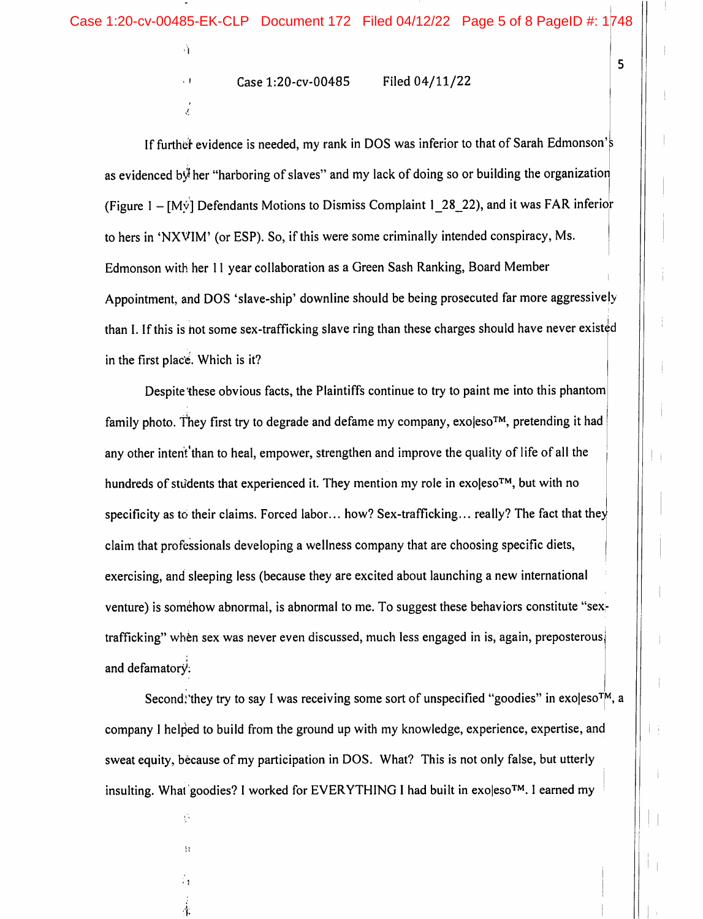Case l:20-cv-00485 Filed 04/11/22

ने

 $, 1$ 

Ŕ.

If further evidence is needed, my rank in DOS was inferior to that of Sarah Edmonson's as evidenced b $\dot{\psi}$  her "harboring of slaves" and my lack of doing so or building the organization (Figure 1 -  $[My]$  Defendants Motions to Dismiss Complaint 1\_28\_22), and it was FAR inferior to hers in 'NXVIM' (or ESP). So, if this were some criminally intended conspiracy, Ms. Edmonson with her 11 year collaboration as a Green Sash Ranking, Board Member Appointment, and DOS 'slave-ship' downline should be being prosecuted far more aggressively than I. If this is hot some sex-trafficking slave ring than these charges should have never existed in the first place. Which is it?

Despite these obvious facts, the Plaintiffs continue to try to paint me into this phantom family photo. They first try to degrade and defame my company, exo|eso™, pretending it had any other intent'than to heal, empower, strengthen and improve the quality of life of all the hundreds of students that experienced it. They mention my role in exoleso<sup>TM</sup>, but with no specificity as to their claims. Forced labor... how? Sex-trafficking... really? The fact that they claim that professionals developing a wellness company that are choosing specific diets, exercising, and sleeping less (because they are excited about launching a new international venture) is somehow abnormal, is abnormal to me. To suggest these behaviors constitute "sextrafficking" when sex was never even discussed, much less engaged in is, again, preposterous, and defamatory.

Second, they try to say I was receiving some sort of unspecified "goodies" in exoleso<sup>t</sup><sup> $M$ </sup>, a company I helped to build from the ground up with my knowledge, experience, expertise, and sweat equity, because of my participation in DOS. What? This is not only false, but utterly insulting. What goodies? I worked for EVERYTHING I had built in exoleso<sup>TM</sup>. I earned my

■f-

 $\mathcal{C}_{\mathcal{C}}$ 

 $\Omega$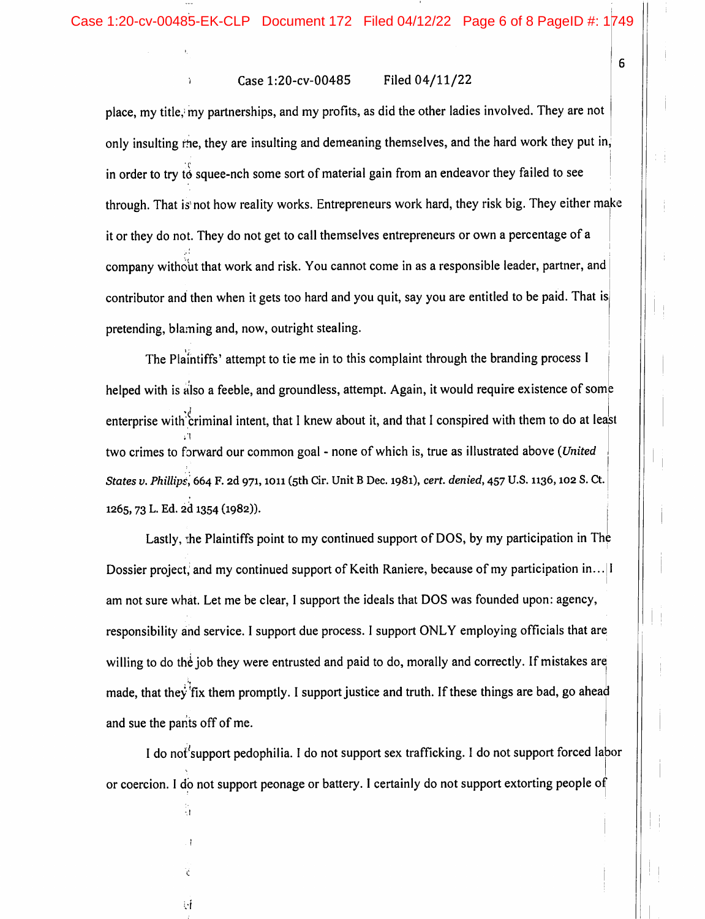#### Case 1:20-cv-00485 Filed 04/11/22

through. That is not how reality works. Entrepreneurs work hard, they risk big. They either make place, my title,' my partnerships, and my profits, as did the other ladies involved. They are not only insulting me, they are insulting and demeaning themselves, and the hard work they put in. in order to try to squee-nch some sort of material gain from an endeavor they failed to see it or they do not. They do not get to call themselves entrepreneurs or own a percentage of a company without that work and risk. You cannot come in as a responsible leader, partner, and contributor and then when it gets too hard and you quit, say you are entitled to be paid. That is pretending, blaming and, now, outright stealing.

The Plaintiffs' attempt to tie me in to this complaint through the branding process I helped with is also a feeble, and groundless, attempt. Again, it would require existence of some enterprise with criminal intent, that I knew about it, and that I conspired with them to do at least two crimes to forward our common goal - none of which is, true as illustrated above (United States v. Phillips, 664 F. 2d 971, 1011 (5th Cir. Unit B Dec. 1981), cert. denied, 457 U.S. 1136, 102 S. Ct. 1265, 73 L- Ed. 2d 1354 (1982)).

Lastly, the Plaintiffs point to my continued support of DOS, by my participation in The Dossier project, and my continued support of Keith Raniere, because of my participation in... | I am not sure what. Let me be clear, 1 support the ideals that DOS was founded upon: agency, responsibility and service. 1 support due process. I support ONLY employing officials that are willing to do the job they were entrusted and paid to do, morally and correctly. If mistakes are made, that they fix them promptly. I support justice and truth. If these things are bad, go ahead and sue the pants off of me.

I do nof'support pedophilia. I do not support sex trafficking. I do not support forced labor or coercion. 1 do not support peonage or battery. 1 certainly do not support extorting people of

Ã

V

ΨĹ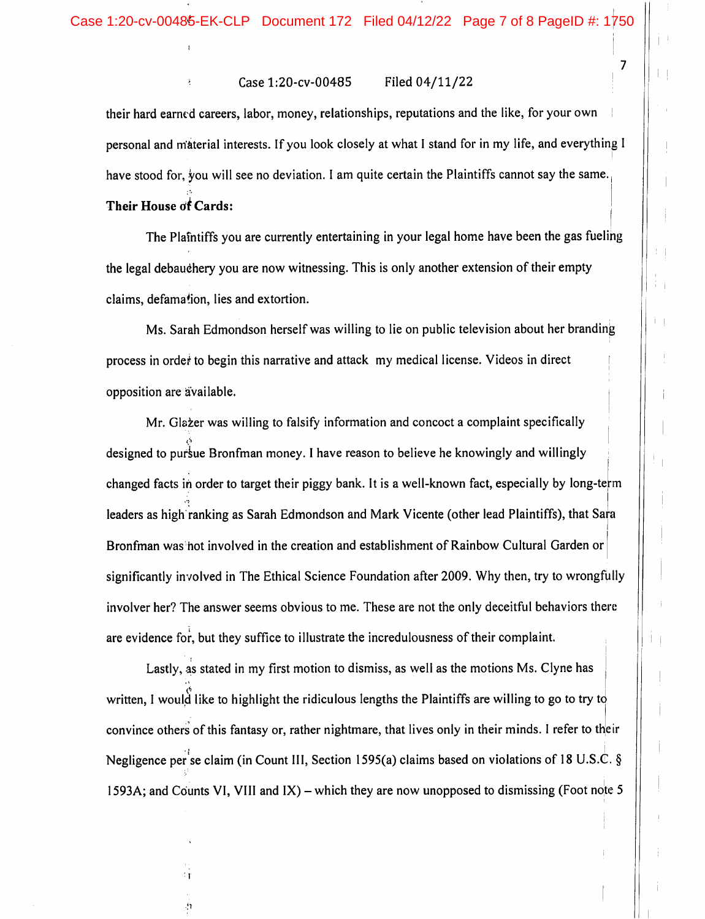### Case 1:20-cv-00485 Filed 04/11/22

their hard earned careers, labor, money, relationships, reputations and the like, for your own personal and material interests. If you look closely at what I stand for in my life, and everything 1 have stood for, you will see no deviation. I am quite certain the Plaintiffs cannot say the same.

## Their House of Cards:

The Plaintiffs you are currently entertaining in your legal home have been the gas fueling the legal debauchery you are now witnessing. This is only another extension of their empty claims, defamation, lies and extortion.

Ms. Sarah Edmondson herself was willing to lie on public television about her branding process in order to begin this narrative and attack my medical license. Videos in direct opposition are available.

Mr. Glazer was willing to falsify information and concoct a complaint specifically designed to pursue Bronfman money. I have reason to believe he knowingly and willingly changed facts in order to target their piggy bank. It is a well-known fact, especially by long-term leaders as high ranking as Sarah Edmondson and Mark Vicente (other lead Plaintiffs), that Sara Bronfman was hot involved in the creation and establishment of Rainbow Cultural Garden or significantly involved in The Ethical Science Foundation after 2009. Why then, try to wrongfully involver her? The answer seems obvious to me. These are not the only deceitful behaviors there are evidence for, but they suffice to illustrate the incredulousness of their complaint.

Lastly, as stated in my first motion to dismiss, as well as the motions Ms. Clyne has | written, I would like to highlight the ridiculous lengths the Plaintiffs are willing to go to try to convince others of this fantasy or, rather nightmare, that lives only in their minds. 1 refer to their Negligence per se claim (in Count III, Section 1595(a) claims based on violations of 18 U.S.C. § 1593A; and Counts VI, VIII and IX) – which they are now unopposed to dismissing (Foot note 5

 $\overline{7}$